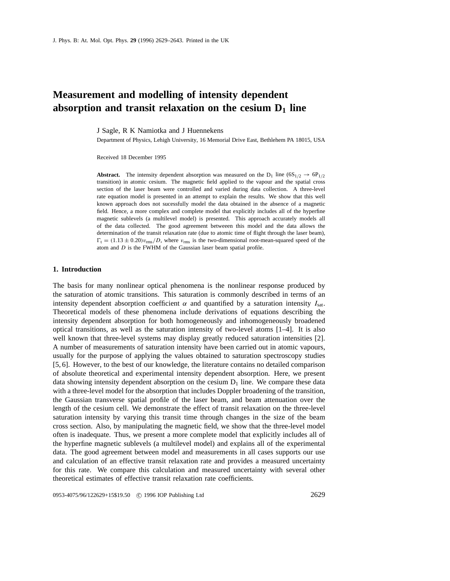# **Measurement and modelling of intensity dependent** absorption and transit relaxation on the cesium  $D_1$  line

J Sagle, R K Namiotka and J Huennekens

Department of Physics, Lehigh University, 16 Memorial Drive East, Bethlehem PA 18015, USA

Received 18 December 1995

**Abstract.** The intensity dependent absorption was measured on the  $D_1$  line  $(6S_{1/2} \rightarrow 6P_{1/2})$ transition) in atomic cesium. The magnetic field applied to the vapour and the spatial cross section of the laser beam were controlled and varied during data collection. A three-level rate equation model is presented in an attempt to explain the results. We show that this well known approach does not sucessfully model the data obtained in the absence of a magnetic field. Hence, a more complex and complete model that explicitly includes all of the hyperfine magnetic sublevels (a multilevel model) is presented. This approach accurately models all of the data collected. The good agreement betweeen this model and the data allows the determination of the transit relaxation rate (due to atomic time of flight through the laser beam),  $\Gamma_t = (1.13 \pm 0.20)v_{\text{rms}}/D$ , where  $v_{\text{rms}}$  is the two-dimensional root-mean-squared speed of the atom and D is the FWHM of the Gaussian laser beam spatial profile.

#### **1. Introduction**

The basis for many nonlinear optical phenomena is the nonlinear response produced by the saturation of atomic transitions. This saturation is commonly described in terms of an intensity dependent absorption coefficient  $\alpha$  and quantified by a saturation intensity  $I_{\text{sat}}$ . Theoretical models of these phenomena include derivations of equations describing the intensity dependent absorption for both homogeneously and inhomogeneously broadened optical transitions, as well as the saturation intensity of two-level atoms [1–4]. It is also well known that three-level systems may display greatly reduced saturation intensities [2]. A number of measurements of saturation intensity have been carried out in atomic vapours, usually for the purpose of applying the values obtained to saturation spectroscopy studies [5, 6]. However, to the best of our knowledge, the literature contains no detailed comparison of absolute theoretical and experimental intensity dependent absorption. Here, we present data showing intensity dependent absorption on the cesium  $D_1$  line. We compare these data with a three-level model for the absorption that includes Doppler broadening of the transition, the Gaussian transverse spatial profile of the laser beam, and beam attenuation over the length of the cesium cell. We demonstrate the effect of transit relaxation on the three-level saturation intensity by varying this transit time through changes in the size of the beam cross section. Also, by manipulating the magnetic field, we show that the three-level model often is inadequate. Thus, we present a more complete model that explicitly includes all of the hyperfine magnetic sublevels (a multilevel model) and explains all of the experimental data. The good agreement between model and measurements in all cases supports our use and calculation of an effective transit relaxation rate and provides a measured uncertainty for this rate. We compare this calculation and measured uncertainty with several other theoretical estimates of effective transit relaxation rate coefficients.

0953-4075/96/122629+15\$19.50 © 1996 IOP Publishing Ltd 2629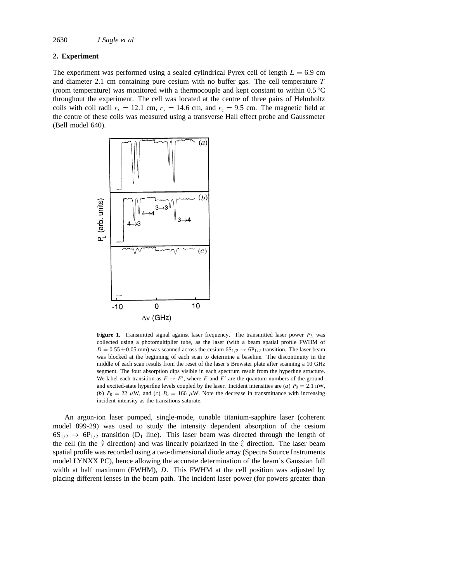## **2. Experiment**

The experiment was performed using a sealed cylindrical Pyrex cell of length  $L = 6.9$  cm and diameter 2.1 cm containing pure cesium with no buffer gas. The cell temperature T (room temperature) was monitored with a thermocouple and kept constant to within  $0.5^{\circ}$ C throughout the experiment. The cell was located at the centre of three pairs of Helmholtz coils with coil radii  $r_x = 12.1$  cm,  $r_y = 14.6$  cm, and  $r_z = 9.5$  cm. The magnetic field at the centre of these coils was measured using a transverse Hall effect probe and Gaussmeter (Bell model 640).



**Figure 1.** Transmitted signal against laser frequency. The transmitted laser power  $P_L$  was collected using a photomultiplier tube, as the laser (with a beam spatial profile FWHM of  $D = 0.55 \pm 0.05$  mm) was scanned across the cesium  $6S_{1/2} \rightarrow 6P_{1/2}$  transition. The laser beam was blocked at the beginning of each scan to determine a baseline. The discontinuity in the middle of each scan results from the reset of the laser's Brewster plate after scanning a 10 GHz segment. The four absorption dips visible in each spectrum result from the hyperfine structure. We label each transition as  $F \to F'$ , where F and F' are the quantum numbers of the groundand excited-state hyperfine levels coupled by the laser. Incident intensities are (*a*)  $P_0 = 2.1$  nW, (*b*)  $P_0 = 22 \mu W$ , and (*c*)  $P_0 = 166 \mu W$ . Note the decrease in transmittance with increasing incident intensity as the transitions saturate.

An argon-ion laser pumped, single-mode, tunable titanium-sapphire laser (coherent model 899-29) was used to study the intensity dependent absorption of the cesium  $6S_{1/2} \rightarrow 6P_{1/2}$  transition (D<sub>1</sub> line). This laser beam was directed through the length of the cell (in the  $\hat{y}$  direction) and was linearly polarized in the  $\hat{z}$  direction. The laser beam spatial profile was recorded using a two-dimensional diode array (Spectra Source Instruments model LYNXX PC), hence allowing the accurate determination of the beam's Gaussian full width at half maximum (FWHM), D. This FWHM at the cell position was adjusted by placing different lenses in the beam path. The incident laser power (for powers greater than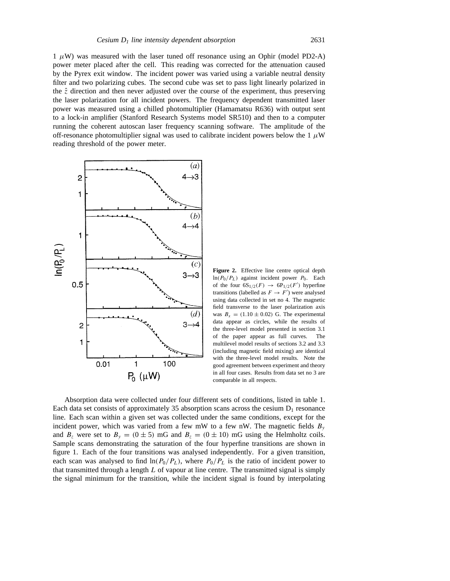$1 \mu W$ ) was measured with the laser tuned off resonance using an Ophir (model PD2-A) power meter placed after the cell. This reading was corrected for the attenuation caused by the Pyrex exit window. The incident power was varied using a variable neutral density filter and two polarizing cubes. The second cube was set to pass light linearly polarized in the  $\hat{z}$  direction and then never adjusted over the course of the experiment, thus preserving the laser polarization for all incident powers. The frequency dependent transmitted laser power was measured using a chilled photomultiplier (Hamamatsu R636) with output sent to a lock-in amplifier (Stanford Research Systems model SR510) and then to a computer running the coherent autoscan laser frequency scanning software. The amplitude of the off-resonance photomultiplier signal was used to calibrate incident powers below the 1  $\mu$ W reading threshold of the power meter.



**Figure 2.** Effective line centre optical depth  $ln(P_0/P_L)$  against incident power  $P_0$ . Each of the four  $6S_{1/2}(F) \rightarrow 6P_{1/2}(F')$  hyperfine transitions (labelled as  $F \to F'$ ) were analysed using data collected in set no 4. The magnetic field transverse to the laser polarization axis was  $B_x = (1.10 \pm 0.02)$  G. The experimental data appear as circles, while the results of the three-level model presented in section 3.1 of the paper appear as full curves. The multilevel model results of sections 3.2 and 3.3 (including magnetic field mixing) are identical with the three-level model results. Note the good agreement between experiment and theory in all four cases. Results from data set no 3 are comparable in all respects.

Absorption data were collected under four different sets of conditions, listed in table 1. Each data set consists of approximately 35 absorption scans across the cesium  $D_1$  resonance line. Each scan within a given set was collected under the same conditions, except for the incident power, which was varied from a few mW to a few nW. The magnetic fields  $B_y$ and  $B_z$  were set to  $B_y = (0 \pm 5)$  mG and  $B_z = (0 \pm 10)$  mG using the Helmholtz coils. Sample scans demonstrating the saturation of the four hyperfine transitions are shown in figure 1. Each of the four transitions was analysed independently. For a given transition, each scan was analysed to find  $\ln(P_0/P_L)$ , where  $P_0/P_L$  is the ratio of incident power to that transmitted through a length  $L$  of vapour at line centre. The transmitted signal is simply the signal minimum for the transition, while the incident signal is found by interpolating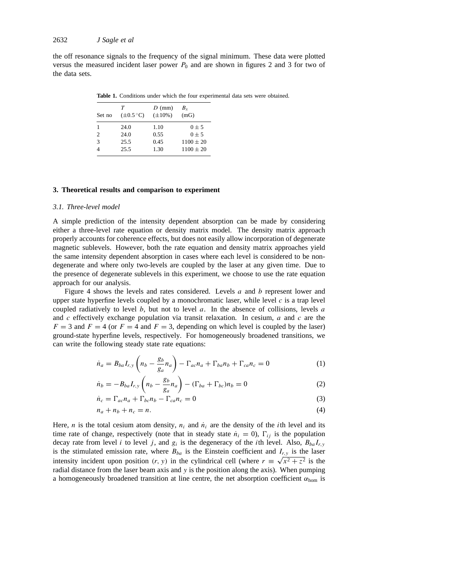the off resonance signals to the frequency of the signal minimum. These data were plotted versus the measured incident laser power  $P_0$  and are shown in figures 2 and 3 for two of the data sets.

**Table 1.** Conditions under which the four experimental data sets were obtained.

| Set no | T<br>$(\pm 0.5^{\circ}C)$ | $D$ (mm)<br>$(\pm 10\%)$ | $B_{r}$<br>(mG) |
|--------|---------------------------|--------------------------|-----------------|
| 1      | 24.0                      | 1.10                     | $0 + 5$         |
| 2      | 24.0                      | 0.55                     | $0 + 5$         |
| 3      | 25.5                      | 0.45                     | $1100 + 20$     |
|        | 25.5                      | 1.30                     | $1100 \pm 20$   |

#### **3. Theoretical results and comparison to experiment**

#### *3.1. Three-level model*

A simple prediction of the intensity dependent absorption can be made by considering either a three-level rate equation or density matrix model. The density matrix approach properly accounts for coherence effects, but does not easily allow incorporation of degenerate magnetic sublevels. However, both the rate equation and density matrix approaches yield the same intensity dependent absorption in cases where each level is considered to be nondegenerate and where only two-levels are coupled by the laser at any given time. Due to the presence of degenerate sublevels in this experiment, we choose to use the rate equation approach for our analysis.

Figure 4 shows the levels and rates considered. Levels  $a$  and  $b$  represent lower and upper state hyperfine levels coupled by a monochromatic laser, while level  $c$  is a trap level coupled radiatively to level  $b$ , but not to level  $a$ . In the absence of collisions, levels  $a$ and  $c$  effectively exchange population via transit relaxation. In cesium,  $a$  and  $c$  are the  $F = 3$  and  $F = 4$  (or  $F = 4$  and  $F = 3$ , depending on which level is coupled by the laser) ground-state hyperfine levels, respectively. For homogeneously broadened transitions, we can write the following steady state rate equations:

$$
\dot{n}_a = B_{ba} I_{r,y} \left( n_b - \frac{g_b}{g_a} n_a \right) - \Gamma_{ac} n_a + \Gamma_{ba} n_b + \Gamma_{ca} n_c = 0 \tag{1}
$$

$$
\dot{n}_b = -B_{ba}I_{r,y}\left(n_b - \frac{g_b}{g_a}n_a\right) - (\Gamma_{ba} + \Gamma_{bc})n_b = 0
$$
\n(2)

$$
\dot{n}_c = \Gamma_{ac} n_a + \Gamma_{bc} n_b - \Gamma_{ca} n_c = 0 \tag{3}
$$

$$
n_a + n_b + n_c = n. \tag{4}
$$

Here, *n* is the total cesium atom density,  $n_i$  and  $n_i$  are the density of the *i*th level and its time rate of change, respectively (note that in steady state  $\dot{n}_i = 0$ ),  $\Gamma_{ij}$  is the population decay rate from level i to level j, and  $g_i$  is the degeneracy of the ith level. Also,  $B_{ba}I_{r,y}$ is the stimulated emission rate, where  $B_{ba}$  is the Einstein coefficient and  $I_{r,y}$  is the laser intensity incident upon position  $(r, y)$  in the cylindrical cell (where  $r \equiv \sqrt{x^2 + z^2}$  is the radial distance from the laser beam axis and  $y$  is the position along the axis). When pumping a homogeneously broadened transition at line centre, the net absorption coefficient  $\alpha_{\text{hom}}$  is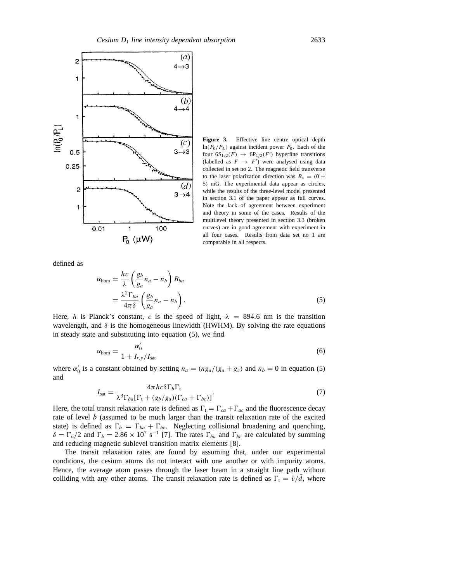

**Figure 3.** Effective line centre optical depth  $ln(P_0/P_L)$  against incident power  $P_0$ . Each of the four  $6S_{1/2}(F) \rightarrow 6P_{1/2}(F')$  hyperfine transitions (labelled as  $F \rightarrow F'$ ) were analysed using data collected in set no 2. The magnetic field transverse to the laser polarization direction was  $B_x = (0 \pm \frac{1}{2})$ 5) mG. The experimental data appear as circles, while the results of the three-level model presented in section 3.1 of the paper appear as full curves. Note the lack of agreement between experiment and theory in some of the cases. Results of the multilevel theory presented in section 3.3 (broken curves) are in good agreement with experiment in all four cases. Results from data set no 1 are comparable in all respects.

defined as

$$
\alpha_{\text{hom}} = \frac{hc}{\lambda} \left( \frac{g_b}{g_a} n_a - n_b \right) B_{ba}
$$
  
= 
$$
\frac{\lambda^2 \Gamma_{ba}}{4\pi \delta} \left( \frac{g_b}{g_a} n_a - n_b \right).
$$
 (5)

Here, h is Planck's constant, c is the speed of light,  $\lambda = 894.6$  nm is the transition wavelength, and  $\delta$  is the homogeneous linewidth (HWHM). By solving the rate equations in steady state and substituting into equation (5), we find

$$
\alpha_{\text{hom}} = \frac{\alpha_0'}{1 + I_{r,y}/I_{\text{sat}}} \tag{6}
$$

where  $\alpha_0'$  is a constant obtained by setting  $n_a = (n g_a/(g_a + g_c))$  and  $n_b = 0$  in equation (5) and

$$
I_{\rm sat} = \frac{4\pi hc\delta\Gamma_b\Gamma_t}{\lambda^3 \Gamma_{ba}[\Gamma_t + (g_b/g_a)(\Gamma_{ca} + \Gamma_{bc})]}.
$$
\n(7)

Here, the total transit relaxation rate is defined as  $\Gamma_t = \Gamma_{ca} + \Gamma_{ac}$  and the fluorescence decay rate of level b (assumed to be much larger than the transit relaxation rate of the excited state) is defined as  $\Gamma_b = \Gamma_{ba} + \Gamma_{bc}$ . Neglecting collisional broadening and quenching,  $\delta = \Gamma_b/2$  and  $\Gamma_b = 2.86 \times 10^7 \text{ s}^{-1}$  [7]. The rates  $\Gamma_{ba}$  and  $\Gamma_{bc}$  are calculated by summing and reducing magnetic sublevel transition matrix elements [8].

The transit relaxation rates are found by assuming that, under our experimental conditions, the cesium atoms do not interact with one another or with impurity atoms. Hence, the average atom passes through the laser beam in a straight line path without colliding with any other atoms. The transit relaxation rate is defined as  $\Gamma_t = \bar{v}/\bar{d}$ , where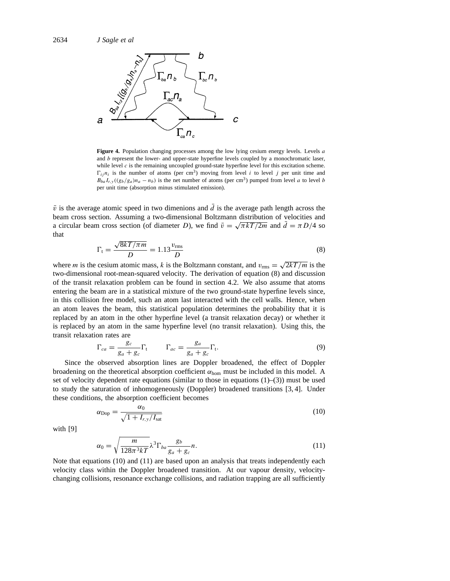

**Figure 4.** Population changing processes among the low lying cesium energy levels. Levels a and  $b$  represent the lower- and upper-state hyperfine levels coupled by a monochromatic laser, while level  $c$  is the remaining uncoupled ground-state hyperfine level for this excitation scheme.  $\Gamma_{ij} n_i$  is the number of atoms (per cm<sup>3</sup>) moving from level i to level j per unit time and  $B_{ba}I_{r,y}((g_b/g_a)n_a - n_b)$  is the net number of atoms (per cm<sup>3</sup>) pumped from level a to level b per unit time (absorption minus stimulated emission).

 $\bar{v}$  is the average atomic speed in two dimenions and  $\bar{d}$  is the average path length across the beam cross section. Assuming a two-dimensional Boltzmann distribution of velocities and a circular beam cross section (of diameter D), we find  $\bar{v} = \sqrt{\pi kT/2m}$  and  $\bar{d} = \pi D/4$  so that

$$
\Gamma_{\rm t} = \frac{\sqrt{8kT/\pi m}}{D} = 1.13 \frac{v_{\rm rms}}{D} \tag{8}
$$

where *m* is the cesium atomic mass, k is the Boltzmann constant, and  $v_{\text{rms}} = \sqrt{2kT/m}$  is the two-dimensional root-mean-squared velocity. The derivation of equation (8) and discussion of the transit relaxation problem can be found in section 4.2. We also assume that atoms entering the beam are in a statistical mixture of the two ground-state hyperfine levels since, in this collision free model, such an atom last interacted with the cell walls. Hence, when an atom leaves the beam, this statistical population determines the probability that it is replaced by an atom in the other hyperfine level (a transit relaxation decay) or whether it is replaced by an atom in the same hyperfine level (no transit relaxation). Using this, the transit relaxation rates are

$$
\Gamma_{ca} = \frac{g_c}{g_a + g_c} \Gamma_t \qquad \Gamma_{ac} = \frac{g_a}{g_a + g_c} \Gamma_t.
$$
\n(9)

Since the observed absorption lines are Doppler broadened, the effect of Doppler broadening on the theoretical absorption coefficient  $\alpha_{\text{hom}}$  must be included in this model. A set of velocity dependent rate equations (similar to those in equations  $(1)$ – $(3)$ ) must be used to study the saturation of inhomogeneously (Doppler) broadened transitions [3, 4]. Under these conditions, the absorption coefficient becomes

$$
\alpha_{\rm Dop} = \frac{\alpha_0}{\sqrt{1 + I_{r,y}/I_{\rm sat}}} \tag{10}
$$

with [9]

$$
\alpha_0 = \sqrt{\frac{m}{128\pi^3 kT}} \lambda^3 \Gamma_{ba} \frac{g_b}{g_a + g_c} n. \tag{11}
$$

Note that equations (10) and (11) are based upon an analysis that treats independently each velocity class within the Doppler broadened transition. At our vapour density, velocitychanging collisions, resonance exchange collisions, and radiation trapping are all sufficiently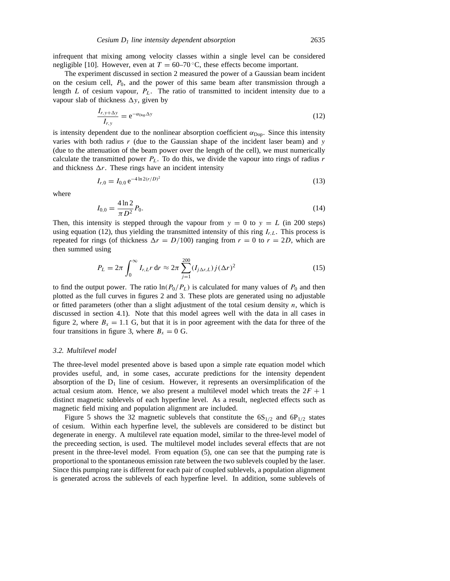infrequent that mixing among velocity classes within a single level can be considered negligible [10]. However, even at  $T = 60-70$ °C, these effects become important.

The experiment discussed in section 2 measured the power of a Gaussian beam incident on the cesium cell,  $P_0$ , and the power of this same beam after transmission through a length  $L$  of cesium vapour,  $P_L$ . The ratio of transmitted to incident intensity due to a vapour slab of thickness  $\Delta y$ , given by

$$
\frac{I_{r,y+\Delta y}}{I_{r,y}} = e^{-\alpha_{\text{Dop}}\Delta y} \tag{12}
$$

is intensity dependent due to the nonlinear absorption coefficient  $\alpha_{\text{Dop}}$ . Since this intensity varies with both radius  $r$  (due to the Gaussian shape of the incident laser beam) and  $y$ (due to the attenuation of the beam power over the length of the cell), we must numerically calculate the transmitted power  $P_L$ . To do this, we divide the vapour into rings of radius r and thickness  $\Delta r$ . These rings have an incident intensity

$$
I_{r,0} = I_{0,0} e^{-4\ln 2(r/D)^2}
$$
 (13)

where

$$
I_{0,0} = \frac{4\ln 2}{\pi D^2} P_0.
$$
\n(14)

Then, this intensity is stepped through the vapour from  $y = 0$  to  $y = L$  (in 200 steps) using equation (12), thus yielding the transmitted intensity of this ring  $I_{r,L}$ . This process is repeated for rings (of thickness  $\Delta r = D/100$ ) ranging from  $r = 0$  to  $r = 2D$ , which are then summed using

$$
P_L = 2\pi \int_0^\infty I_{r,L} r \, dr \approx 2\pi \sum_{j=1}^{200} (I_{j\Delta r,L}) j (\Delta r)^2 \tag{15}
$$

to find the output power. The ratio  $\ln(P_0/P_L)$  is calculated for many values of  $P_0$  and then plotted as the full curves in figures 2 and 3. These plots are generated using no adjustable or fitted parameters (other than a slight adjustment of the total cesium density  $n$ , which is discussed in section 4.1). Note that this model agrees well with the data in all cases in figure 2, where  $B_x = 1.1$  G, but that it is in poor agreement with the data for three of the four transitions in figure 3, where  $B_x = 0$  G.

## *3.2. Multilevel model*

The three-level model presented above is based upon a simple rate equation model which provides useful, and, in some cases, accurate predictions for the intensity dependent absorption of the  $D_1$  line of cesium. However, it represents an oversimplification of the actual cesium atom. Hence, we also present a multilevel model which treats the  $2F + 1$ distinct magnetic sublevels of each hyperfine level. As a result, neglected effects such as magnetic field mixing and population alignment are included.

Figure 5 shows the 32 magnetic sublevels that constitute the  $6S_{1/2}$  and  $6P_{1/2}$  states of cesium. Within each hyperfine level, the sublevels are considered to be distinct but degenerate in energy. A multilevel rate equation model, similar to the three-level model of the preceeding section, is used. The multilevel model includes several effects that are not present in the three-level model. From equation (5), one can see that the pumping rate is proportional to the spontaneous emission rate between the two sublevels coupled by the laser. Since this pumping rate is different for each pair of coupled sublevels, a population alignment is generated across the sublevels of each hyperfine level. In addition, some sublevels of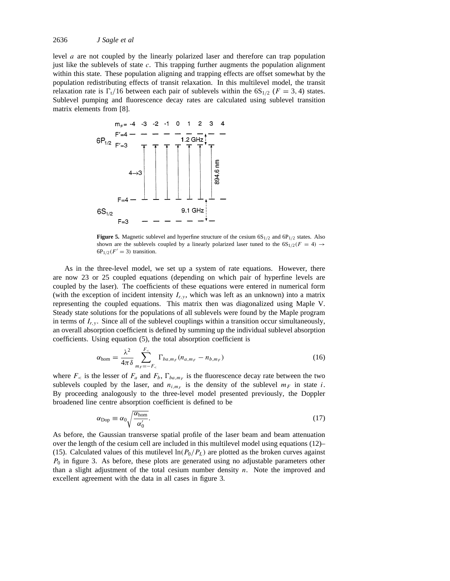level a are not coupled by the linearly polarized laser and therefore can trap population just like the sublevels of state  $c$ . This trapping further augments the population alignment within this state. These population aligning and trapping effects are offset somewhat by the population redistributing effects of transit relaxation. In this multilevel model, the transit relaxation rate is  $\Gamma_t/16$  between each pair of sublevels within the  $6S_{1/2}$  ( $F = 3, 4$ ) states. Sublevel pumping and fluorescence decay rates are calculated using sublevel transition matrix elements from [8].



**Figure 5.** Magnetic sublevel and hyperfine structure of the cesium  $6S_{1/2}$  and  $6P_{1/2}$  states. Also shown are the sublevels coupled by a linearly polarized laser tuned to the  $6S_{1/2}(F = 4) \rightarrow$  $6P_{1/2}(F' = 3)$  transition.

As in the three-level model, we set up a system of rate equations. However, there are now 23 or 25 coupled equations (depending on which pair of hyperfine levels are coupled by the laser). The coefficients of these equations were entered in numerical form (with the exception of incident intensity  $I_{r,y}$ , which was left as an unknown) into a matrix representing the coupled equations. This matrix then was diagonalized using Maple V. Steady state solutions for the populations of all sublevels were found by the Maple program in terms of  $I_{r,y}$ . Since all of the sublevel couplings within a transition occur simultaneously, an overall absorption coefficient is defined by summing up the individual sublevel absorption coefficients. Using equation (5), the total absorption coefficient is

$$
\alpha_{\text{hom}} = \frac{\lambda^2}{4\pi\delta} \sum_{m_F=-F_{\leq}}^{F_{\leq}} \Gamma_{ba,m_F} (n_{a,m_F} - n_{b,m_F})
$$
(16)

where  $F_{\leq}$  is the lesser of  $F_a$  and  $F_b$ ,  $\Gamma_{ba, m_F}$  is the fluorescence decay rate between the two sublevels coupled by the laser, and  $n_{i,m_F}$  is the density of the sublevel  $m_F$  in state i. By proceeding analogously to the three-level model presented previously, the Doppler broadened line centre absorption coefficient is defined to be

$$
\alpha_{\rm Dop} \equiv \alpha_0 \sqrt{\frac{\alpha_{\rm hom}}{\alpha_0'}}.\tag{17}
$$

As before, the Gaussian transverse spatial profile of the laser beam and beam attenuation over the length of the cesium cell are included in this multilevel model using equations (12)– (15). Calculated values of this mutilevel  $\ln(P_0/P_L)$  are plotted as the broken curves against  $P_0$  in figure 3. As before, these plots are generated using no adjustable parameters other than a slight adjustment of the total cesium number density  $n$ . Note the improved and excellent agreement with the data in all cases in figure 3.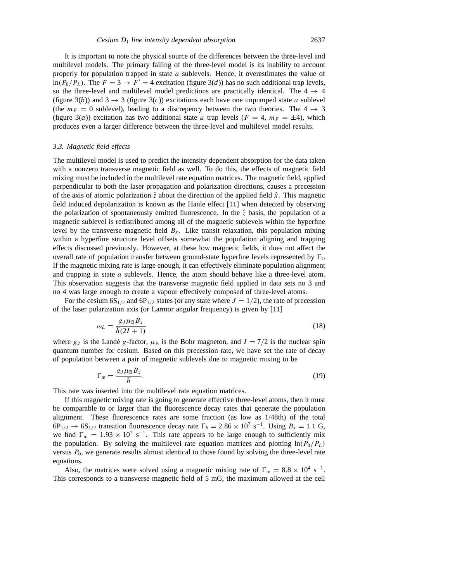It is important to note the physical source of the differences between the three-level and multilevel models. The primary failing of the three-level model is its inability to account properly for population trapped in state  $a$  sublevels. Hence, it overestimates the value of  $ln(P_0/P_L)$ . The  $F = 3 \rightarrow F' = 4$  excitation (figure 3(*d*)) has no such additional trap levels, so the three-level and multilevel model predictions are practically identical. The  $4 \rightarrow 4$ (figure 3(*b*)) and  $3 \rightarrow 3$  (figure 3(*c*)) excitations each have one unpumped state *a* sublevel (the  $m_F = 0$  sublevel), leading to a discrepency between the two theories. The  $4 \rightarrow 3$ (figure 3(*a*)) excitation has two additional state *a* trap levels ( $F = 4$ ,  $m_F = \pm 4$ ), which produces even a larger difference between the three-level and multilevel model results.

#### *3.3. Magnetic field effects*

The multilevel model is used to predict the intensity dependent absorption for the data taken with a nonzero transverse magnetic field as well. To do this, the effects of magnetic field mixing must be included in the multilevel rate equation matrices. The magnetic field, applied perpendicular to both the laser propagation and polarization directions, causes a precession of the axis of atomic polarization  $\hat{z}$  about the direction of the applied field  $\hat{x}$ . This magnetic field induced depolarization is known as the Hanle effect [11] when detected by observing the polarization of spontaneously emitted fluorescence. In the  $\hat{z}$  basis, the population of a magnetic sublevel is redistributed among all of the magnetic sublevels within the hyperfine level by the transverse magnetic field  $B_x$ . Like transit relaxation, this population mixing within a hyperfine structure level offsets somewhat the population aligning and trapping effects discussed previously. However, at these low magnetic fields, it does not affect the overall rate of population transfer between ground-state hyperfine levels represented by  $\Gamma_t$ . If the magnetic mixing rate is large enough, it can effectively eliminate population alignment and trapping in state  $a$  sublevels. Hence, the atom should behave like a three-level atom. This observation suggests that the transverse magnetic field applied in data sets no 3 and no 4 was large enough to create a vapour effectively composed of three-level atoms.

For the cesium  $6S_{1/2}$  and  $6P_{1/2}$  states (or any state where  $J = 1/2$ ), the rate of precession of the laser polarization axis (or Larmor angular frequency) is given by [11]

$$
\omega_L = \frac{g_J \mu_B B_x}{\hbar (2I + 1)}\tag{18}
$$

where  $g_J$  is the Landé g-factor,  $\mu_B$  is the Bohr magneton, and  $I = 7/2$  is the nuclear spin quantum number for cesium. Based on this precession rate, we have set the rate of decay of population between a pair of magnetic sublevels due to magnetic mixing to be

$$
\Gamma_{\rm m} = \frac{g_J \mu_{\rm B} B_x}{\hbar}.\tag{19}
$$

This rate was inserted into the multilevel rate equation matrices.

If this magnetic mixing rate is going to generate effective three-level atoms, then it must be comparable to or larger than the fluorescence decay rates that generate the population alignment. These fluorescence rates are some fraction (as low as 1/48th) of the total  $6P_{1/2} \rightarrow 6S_{1/2}$  transition fluorescence decay rate  $\Gamma_b = 2.86 \times 10^7 \text{ s}^{-1}$ . Using  $B_x = 1.1 \text{ G}$ , we find  $\Gamma_{\rm m} = 1.93 \times 10^7 \text{ s}^{-1}$ . This rate appears to be large enough to sufficiently mix the population. By solving the multilevel rate equation matrices and plotting  $\ln(P_0/P_L)$ versus  $P_0$ , we generate results almost identical to those found by solving the three-level rate equations.

Also, the matrices were solved using a magnetic mixing rate of  $\Gamma_m = 8.8 \times 10^4 \text{ s}^{-1}$ . This corresponds to a transverse magnetic field of 5 mG, the maximum allowed at the cell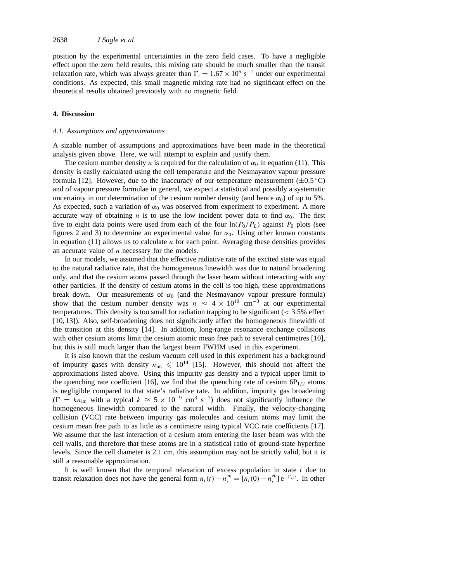position by the experimental uncertainties in the zero field cases. To have a negligible effect upon the zero field results, this mixing rate should be much smaller than the transit relaxation rate, which was always greater than  $\Gamma_t = 1.67 \times 10^5 \text{ s}^{-1}$  under our experimental conditions. As expected, this small magnetic mixing rate had no significant effect on the theoretical results obtained previously with no magnetic field.

#### **4. Discussion**

#### *4.1. Assumptions and approximations*

A sizable number of assumptions and approximations have been made in the theoretical analysis given above. Here, we will attempt to explain and justify them.

The cesium number density n is required for the calculation of  $\alpha_0$  in equation (11). This density is easily calculated using the cell temperature and the Nesmayanov vapour pressure formula [12]. However, due to the inaccuracy of our temperature measurement  $(\pm 0.5^{\circ}C)$ and of vapour pressure formulae in general, we expect a statistical and possibly a systematic uncertainty in our determination of the cesium number density (and hence  $\alpha_0$ ) of up to 5%. As expected, such a variation of  $\alpha_0$  was observed from experiment to experiment. A more accurate way of obtaining n is to use the low incident power data to find  $\alpha_0$ . The first five to eight data points were used from each of the four  $\ln(P_0/P_L)$  against  $P_0$  plots (see figures 2 and 3) to determine an experimental value for  $\alpha_0$ . Using other known constants in equation  $(11)$  allows us to calculate *n* for each point. Averaging these densities provides an accurate value of  $n$  necessary for the models.

In our models, we assumed that the effective radiative rate of the excited state was equal to the natural radiative rate, that the homogeneous linewidth was due to natural broadening only, and that the cesium atoms passed through the laser beam without interacting with any other particles. If the density of cesium atoms in the cell is too high, these approximations break down. Our measurements of  $\alpha_0$  (and the Nesmayanov vapour pressure formula) show that the cesium number density was  $n \approx 4 \times 10^{10}$  cm<sup>-3</sup> at our experimental temperatures. This density is too small for radiation trapping to be significant  $( $3.5\%$  effect$ [10, 13]). Also, self-broadening does not significantly affect the homogeneous linewidth of the transition at this density [14]. In addition, long-range resonance exchange collisions with other cesium atoms limit the cesium atomic mean free path to several centimetres [10], but this is still much larger than the largest beam FWHM used in this experiment.

It is also known that the cesium vacuum cell used in this experiment has a background of impurity gases with density  $n_{\text{im}} \leq 10^{14}$  [15]. However, this should not affect the approximations listed above. Using this impurity gas density and a typical upper limit to the quenching rate coefficient [16], we find that the quenching rate of cesium  $6P_{1/2}$  atoms is negligible compared to that state's radiative rate. In addition, impurity gas broadening  $(\Gamma = kn_{\text{im}}$  with a typical  $k \approx 5 \times 10^{-9}$  cm<sup>3</sup> s<sup>-1</sup>) does not significantly influence the homogeneous linewidth compared to the natural width. Finally, the velocity-changing collision (VCC) rate between impurity gas molecules and cesium atoms may limit the cesium mean free path to as little as a centimetre using typical VCC rate coefficients [17]. We assume that the last interaction of a cesium atom entering the laser beam was with the cell walls, and therefore that these atoms are in a statistical ratio of ground-state hyperfine levels. Since the cell diameter is 2.1 cm, this assumption may not be strictly valid, but it is still a reasonable approximation.

It is well known that the temporal relaxation of excess population in state  $i$  due to transit relaxation does not have the general form  $n_i(t) - n_i^{\text{eq}} = [n_i(0) - n_i^{\text{eq}}] e^{-\Gamma_{ij}t}$ . In other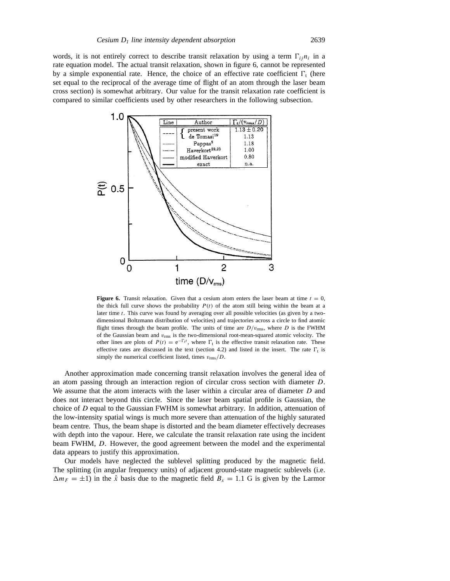words, it is not entirely correct to describe transit relaxation by using a term  $\Gamma_{ij}n_i$  in a rate equation model. The actual transit relaxation, shown in figure 6, cannot be represented by a simple exponential rate. Hence, the choice of an effective rate coefficient  $\Gamma_t$  (here set equal to the reciprocal of the average time of flight of an atom through the laser beam cross section) is somewhat arbitrary. Our value for the transit relaxation rate coefficient is compared to similar coefficients used by other researchers in the following subsection.



**Figure 6.** Transit relaxation. Given that a cesium atom enters the laser beam at time  $t = 0$ , the thick full curve shows the probability  $P(t)$  of the atom still being within the beam at a later time t. This curve was found by averaging over all possible velocities (as given by a twodimensional Boltzmann distribution of velocities) and trajectories across a circle to find atomic flight times through the beam profile. The units of time are  $D/v_{\text{rms}}$ , where D is the FWHM of the Gaussian beam and  $v_{\rm rms}$  is the two-dimensional root-mean-squared atomic velocity. The other lines are plots of  $P(t) = e^{-\Gamma_t t}$ , where  $\Gamma_t$  is the effective transit relaxation rate. These effective rates are discussed in the text (section 4.2) and listed in the insert. The rate  $\Gamma_t$  is simply the numerical coefficient listed, times  $v_{\rm rms}/D$ .

Another approximation made concerning transit relaxation involves the general idea of an atom passing through an interaction region of circular cross section with diameter D. We assume that the atom interacts with the laser within a circular area of diameter D and does not interact beyond this circle. Since the laser beam spatial profile is Gaussian, the choice of D equal to the Gaussian FWHM is somewhat arbitrary. In addition, attenuation of the low-intensity spatial wings is much more severe than attenuation of the highly saturated beam centre. Thus, the beam shape is distorted and the beam diameter effectively decreases with depth into the vapour. Here, we calculate the transit relaxation rate using the incident beam FWHM, D. However, the good agreement between the model and the experimental data appears to justify this approximation.

Our models have neglected the sublevel splitting produced by the magnetic field. The splitting (in angular frequency units) of adjacent ground-state magnetic sublevels (i.e.  $\Delta m_F = \pm 1$ ) in the  $\hat{x}$  basis due to the magnetic field  $B_x = 1.1$  G is given by the Larmor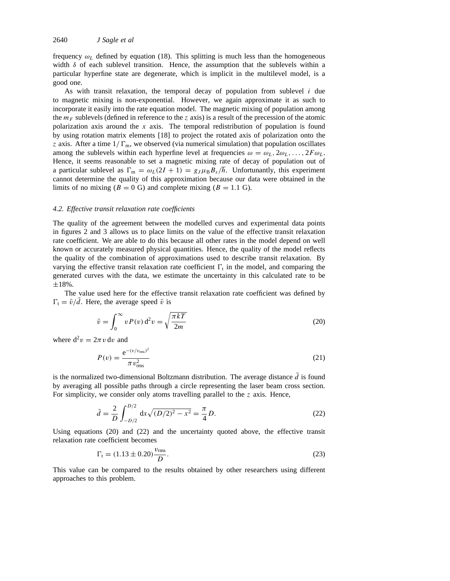frequency  $\omega_L$  defined by equation (18). This splitting is much less than the homogeneous width  $\delta$  of each sublevel transition. Hence, the assumption that the sublevels within a particular hyperfine state are degenerate, which is implicit in the multilevel model, is a good one.

As with transit relaxation, the temporal decay of population from sublevel  $i$  due to magnetic mixing is non-exponential. However, we again approximate it as such to incorporate it easily into the rate equation model. The magnetic mixing of population among the  $m_F$  sublevels (defined in reference to the z axis) is a result of the precession of the atomic polarization axis around the x axis. The temporal redistribution of population is found by using rotation matrix elements [18] to project the rotated axis of polarization onto the z axis. After a time  $1/\Gamma_m$ , we observed (via numerical simulation) that population oscillates among the sublevels within each hyperfine level at frequencies  $\omega = \omega_L, 2\omega_L, \ldots, 2F\omega_L$ . Hence, it seems reasonable to set a magnetic mixing rate of decay of population out of a particular sublevel as  $\Gamma_m = \omega_L(2I + 1) = g_J \mu_B B_x / \hbar$ . Unfortunantly, this experiment cannot determine the quality of this approximation because our data were obtained in the limits of no mixing ( $B = 0$  G) and complete mixing ( $B = 1.1$  G).

### *4.2. Effective transit relaxation rate coefficients*

The quality of the agreement between the modelled curves and experimental data points in figures 2 and 3 allows us to place limits on the value of the effective transit relaxation rate coefficient. We are able to do this because all other rates in the model depend on well known or accurately measured physical quantities. Hence, the quality of the model reflects the quality of the combination of approximations used to describe transit relaxation. By varying the effective transit relaxation rate coefficient  $\Gamma_t$  in the model, and comparing the generated curves with the data, we estimate the uncertainty in this calculated rate to be  $±18%$ .

The value used here for the effective transit relaxation rate coefficient was defined by  $\Gamma_t = \bar{v}/\bar{d}$ . Here, the average speed  $\bar{v}$  is

$$
\bar{v} = \int_0^\infty v P(v) \, \mathrm{d}^2 v = \sqrt{\frac{\pi k T}{2m}} \tag{20}
$$

where  $d^2v = 2\pi v dv$  and

$$
P(v) = \frac{e^{-(v/v_{\rm rms})^2}}{\pi v_{\rm rms}^2}
$$
 (21)

is the normalized two-dimensional Boltzmann distribution. The average distance  $\bar{d}$  is found by averaging all possible paths through a circle representing the laser beam cross section. For simplicity, we consider only atoms travelling parallel to the  $z$  axis. Hence,

$$
\bar{d} = \frac{2}{D} \int_{-D/2}^{D/2} dx \sqrt{(D/2)^2 - x^2} = \frac{\pi}{4} D.
$$
 (22)

Using equations (20) and (22) and the uncertainty quoted above, the effective transit relaxation rate coefficient becomes

$$
\Gamma_{t} = (1.13 \pm 0.20) \frac{v_{\rm rms}}{D}.
$$
\n(23)

This value can be compared to the results obtained by other researchers using different approaches to this problem.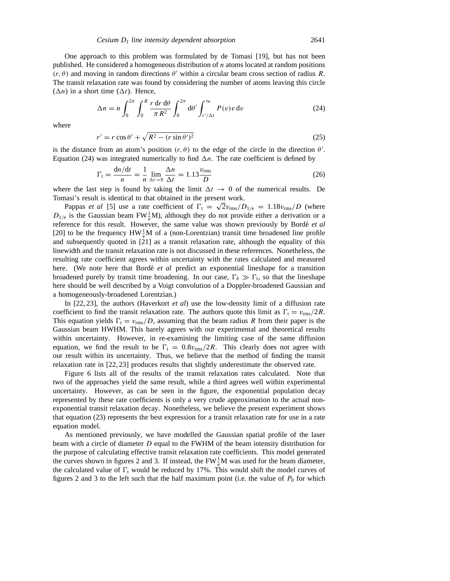One approach to this problem was formulated by de Tomasi [19], but has not been published. He considered a homogeneous distribution of  $n$  atoms located at random positions  $(r, \theta)$  and moving in random directions  $\theta'$  within a circular beam cross section of radius R. The transit relaxation rate was found by considering the number of atoms leaving this circle  $(\Delta n)$  in a short time  $(\Delta t)$ . Hence,

$$
\Delta n = n \int_0^{2\pi} \int_0^R \frac{r \, dr \, d\theta}{\pi R^2} \int_0^{2\pi} d\theta' \int_{r'/\Delta t}^\infty P(v) v \, dv \tag{24}
$$

where

$$
r' = r\cos\theta' + \sqrt{R^2 - (r\sin\theta')^2}
$$
\n(25)

is the distance from an atom's position  $(r, \theta)$  to the edge of the circle in the direction  $\theta'$ . Equation (24) was integrated numerically to find  $\Delta n$ . The rate coefficient is defined by

$$
\Gamma_{\rm t} = \frac{\mathrm{d}n/\mathrm{d}t}{n} = \frac{1}{n} \lim_{\Delta t \to 0} \frac{\Delta n}{\Delta t} = 1.13 \frac{v_{\rm rms}}{D} \tag{26}
$$

where the last step is found by taking the limit  $\Delta t \rightarrow 0$  of the numerical results. De Tomasi's result is identical to that obtained in the present work.

Pappas *et al* [5] use a rate coefficient of  $\Gamma_t = \sqrt{2}v_{\text{rms}}/D_{1/e} = 1.18v_{\text{rms}}/D$  (where  $D_{1/e}$  is the Gaussian beam FW $\frac{1}{e}$ M), although they do not provide either a derivation or a reference for this result. However, the same value was shown previously by Borde´ *et al* [20] to be the frequency  $HW_{\varepsilon}^1 M$  of a (non-Lorentzian) transit time broadened line profile and subsequently quoted in [21] as a transit relaxation rate, although the equality of this linewidth and the transit relaxation rate is not discussed in these references. Nonetheless, the resulting rate coefficient agrees within uncertainty with the rates calculated and measured here. (We note here that Borde<sup> $et$  *al* predict an exponential lineshape for a transition</sup> broadened purely by transit time broadening. In our case,  $\Gamma_b \gg \Gamma_t$ , so that the lineshape here should be well described by a Voigt convolution of a Doppler-broadened Gaussian and a homogeneously-broadened Lorentzian.)

In [22, 23], the authors (Haverkort *et al*) use the low-density limit of a diffusion rate coefficient to find the transit relaxation rate. The authors quote this limit as  $\Gamma_t = v_{\rm rms}/2R$ . This equation yields  $\Gamma_t = v_{rms}/D$ , assuming that the beam radius R from their paper is the Gaussian beam HWHM. This barely agrees with our experimental and theoretical results within uncertainty. However, in re-examining the limiting case of the same diffusion equation, we find the result to be  $\Gamma_t = 0.8v_{\text{rms}}/2R$ . This clearly does not agree with our result within its uncertainty. Thus, we believe that the method of finding the transit relaxation rate in [22, 23] produces results that slightly underestimate the observed rate.

Figure 6 lists all of the results of the transit relaxation rates calculated. Note that two of the approaches yield the same result, while a third agrees well within experimental uncertainty. However, as can be seen in the figure, the exponential population decay represented by these rate coefficients is only a very crude approximation to the actual nonexponential transit relaxation decay. Nonetheless, we believe the present experiment shows that equation (23) represents the best expression for a transit relaxation rate for use in a rate equation model.

As mentioned previously, we have modelled the Gaussian spatial profile of the laser beam with a circle of diameter D equal to the FWHM of the beam intensity distribution for the purpose of calculating effective transit relaxation rate coefficients. This model generated the curves shown in figures 2 and 3. If instead, the  $FW<sub>e</sub><sup>1</sup>M$  was used for the beam diameter, the calculated value of  $\Gamma_t$  would be reduced by 17%. This would shift the model curves of figures 2 and 3 to the left such that the half maximum point (i.e. the value of  $P_0$  for which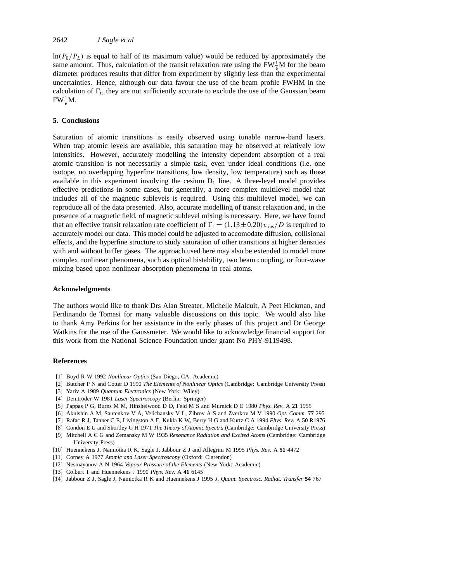$ln(P_0/P_L)$  is equal to half of its maximum value) would be reduced by approximately the same amount. Thus, calculation of the transit relaxation rate using the  $FW_{\frac{1}{c}}^{\frac{1}{2}}M$  for the beam diameter produces results that differ from experiment by slightly less than the experimental uncertainties. Hence, although our data favour the use of the beam profile FWHM in the calculation of  $\Gamma$ <sub>t</sub>, they are not sufficiently accurate to exclude the use of the Gaussian beam  $FW_{e}^{1}M$ .

## **5. Conclusions**

Saturation of atomic transitions is easily observed using tunable narrow-band lasers. When trap atomic levels are available, this saturation may be observed at relatively low intensities. However, accurately modelling the intensity dependent absorption of a real atomic transition is not necessarily a simple task, even under ideal conditions (i.e. one isotope, no overlapping hyperfine transitions, low density, low temperature) such as those available in this experiment involving the cesium  $D_1$  line. A three-level model provides effective predictions in some cases, but generally, a more complex multilevel model that includes all of the magnetic sublevels is required. Using this multilevel model, we can reproduce all of the data presented. Also, accurate modelling of transit relaxation and, in the presence of a magnetic field, of magnetic sublevel mixing is necessary. Here, we have found that an effective transit relaxation rate coefficient of  $\Gamma_t = (1.13 \pm 0.20)v_{\text{rms}}/D$  is required to accurately model our data. This model could be adjusted to accomodate diffusion, collisional effects, and the hyperfine structure to study saturation of other transitions at higher densities with and without buffer gases. The approach used here may also be extended to model more complex nonlinear phenomena, such as optical bistability, two beam coupling, or four-wave mixing based upon nonlinear absorption phenomena in real atoms.

## **Acknowledgments**

The authors would like to thank Drs Alan Streater, Michelle Malcuit, A Peet Hickman, and Ferdinando de Tomasi for many valuable discussions on this topic. We would also like to thank Amy Perkins for her assistance in the early phases of this project and Dr George Watkins for the use of the Gaussmeter. We would like to acknowledge financial support for this work from the National Science Foundation under grant No PHY-9119498.

#### **References**

- [1] Boyd R W 1992 *Nonlinear Optics* (San Diego, CA: Academic)
- [2] Butcher P N and Cotter D 1990 *The Elements of Nonlinear Optics* (Cambridge: Cambridge University Press)
- [3] Yariv A 1989 *Quantum Electronics* (New York: Wiley)
- [4] Demtröder W 1981 Laser Spectroscopy (Berlin: Springer)
- [5] Pappas P G, Burns M M, Hinshelwood D D, Feld M S and Murnick D E 1980 *Phys. Rev.* A **21** 1955
- [6] Akulshin A M, Sautenkov V A, Velichansky V L, Zibrov A S and Zverkov M V 1990 *Opt. Comm.* **77** 295
- [7] Rafac R J, Tanner C E, Livingston A E, Kukla K W, Berry H G and Kurtz C A 1994 *Phys. Rev.* A **50** R1976
- [8] Condon E U and Shortley G H 1971 *The Theory of Atomic Spectra* (Cambridge: Cambridge University Press)
- [9] Mitchell A C G and Zemansky M W 1935 *Resonance Radiation and Excited Atoms* (Cambridge: Cambridge University Press)
- [10] Huennekens J, Namiotka R K, Sagle J, Jabbour Z J and Allegrini M 1995 *Phys. Rev.* A **51** 4472
- [11] Corney A 1977 *Atomic and Laser Spectroscopy* (Oxford: Clarendon)
- [12] Nesmayanov A N 1964 *Vapour Pressure of the Elements* (New York: Academic)
- [13] Colbert T and Huennekens J 1990 *Phys. Rev.* A **41** 6145
- [14] Jabbour Z J, Sagle J, Namiotka R K and Huennekens J 1995 *J. Quant. Spectrosc. Radiat. Transfer* **54** 767